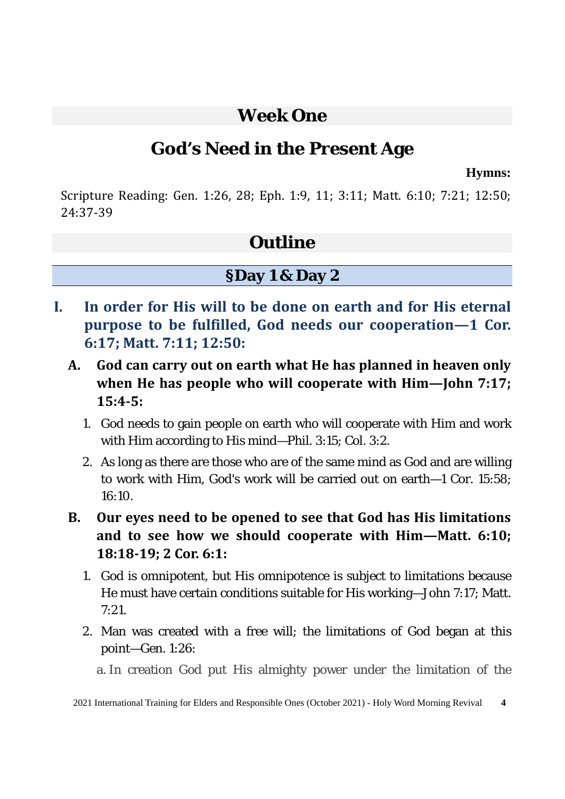### **Week One**

## **God's Need in the Present Age**

**Hymns:**

Scripture Reading: Gen. 1:26, 28; Eph. 1:9, 11; 3:11; Matt. 6:10; 7:21; 12:50; 24:37-39

### **Outline**

### **§Day 1 & Day 2**

- **I. In order for His will to be done on earth and for His eternal purpose to be fulfilled, God needs our cooperation—1 Cor. 6:17; Matt. 7:11; 12:50:**
	- **A. God can carry out on earth what He has planned in heaven only when He has people who will cooperate with Him—John 7:17; 15:4-5:** 
		- 1. God needs to gain people on earth who will cooperate with Him and work with Him according to His mind—Phil. 3:15; Col. 3:2.
		- 2. As long as there are those who are of the same mind as God and are willing to work with Him, God's work will be carried out on earth—1 Cor. 15:58;  $16:10.$
	- **B. Our eyes need to be opened to see that God has His limitations and to see how we should cooperate with Him—Matt. 6:10; 18:18-19; 2 Cor. 6:1:** 
		- 1. God is omnipotent, but His omnipotence is subject to limitations because He must have certain conditions suitable for His working—John 7:17; Matt.  $7.21$
		- 2. Man was created with a free will; the limitations of God began at this point—Gen. 1:26:

a. In creation God put His almighty power under the limitation of the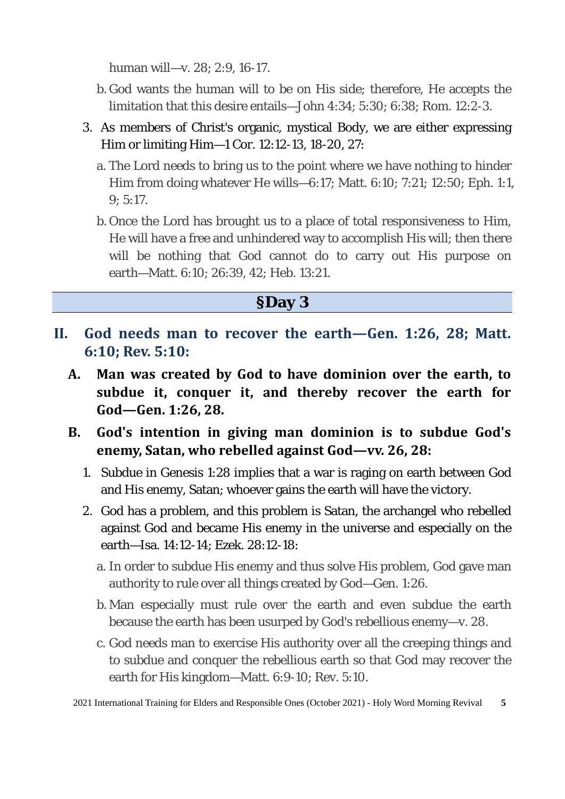human will—v. 28; 2:9, 16-17.

- b. God wants the human will to be on His side; therefore, He accepts the limitation that this desire entails—John 4:34; 5:30; 6:38; Rom. 12:2-3.
- 3. As members of Christ's organic, mystical Body, we are either expressing Him or limiting Him—1 Cor. 12:12-13, 18-20, 27:
	- a. The Lord needs to bring us to the point where we have nothing to hinder Him from doing whatever He wills—6:17; Matt. 6:10; 7:21; 12:50; Eph. 1:1, 9; 5:17.
	- b. Once the Lord has brought us to a place of total responsiveness to Him, He will have a free and unhindered way to accomplish His will; then there will be nothing that God cannot do to carry out His purpose on earth—Matt. 6:10; 26:39, 42; Heb. 13:21.

#### **§Day 3**

- **II. God needs man to recover the earth—Gen. 1:26, 28; Matt. 6:10; Rev. 5:10:**
	- **A. Man was created by God to have dominion over the earth, to subdue it, conquer it, and thereby recover the earth for God—Gen. 1:26, 28.**
	- **B. God's intention in giving man dominion is to subdue God's enemy, Satan, who rebelled against God—vv. 26, 28:** 
		- 1. Subdue in Genesis 1:28 implies that a war is raging on earth between God and His enemy, Satan; whoever gains the earth will have the victory.
		- 2. God has a problem, and this problem is Satan, the archangel who rebelled against God and became His enemy in the universe and especially on the earth—Isa. 14:12-14; Ezek. 28:12-18:
			- a. In order to subdue His enemy and thus solve His problem, God gave man authority to rule over all things created by God—Gen. 1:26.
			- b. Man especially must rule over the earth and even subdue the earth because the earth has been usurped by God's rebellious enemy—v. 28.
			- c. God needs man to exercise His authority over all the creeping things and to subdue and conquer the rebellious earth so that God may recover the earth for His kingdom—Matt. 6:9-10; Rev. 5:10.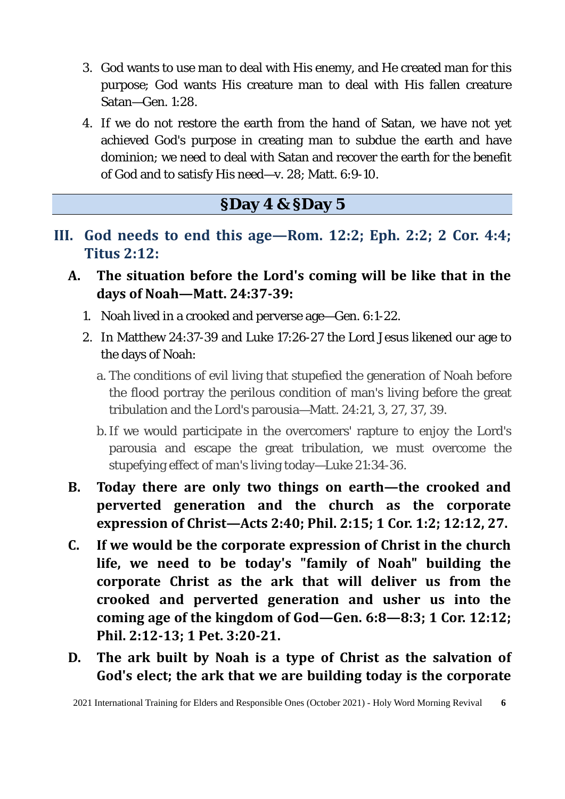- 3. God wants to use man to deal with His enemy, and He created man for this purpose; God wants His creature man to deal with His fallen creature Satan—Gen. 1:28.
- 4. If we do not restore the earth from the hand of Satan, we have not yet achieved God's purpose in creating man to subdue the earth and have dominion; we need to deal with Satan and recover the earth for the benefit of God and to satisfy His need—v. 28; Matt. 6:9-10.

### **§Day 4 & §Day 5**

- **III. God needs to end this age—Rom. 12:2; Eph. 2:2; 2 Cor. 4:4; Titus 2:12:**
	- **A. The situation before the Lord's coming will be like that in the days of Noah—Matt. 24:37-39:** 
		- 1. Noah lived in a crooked and perverse age—Gen. 6:1-22.
		- 2. In Matthew 24:37-39 and Luke 17:26-27 the Lord Jesus likened our age to the days of Noah:
			- a. The conditions of evil living that stupefied the generation of Noah before the flood portray the perilous condition of man's living before the great tribulation and the Lord's parousia—Matt. 24:21, 3, 27, 37, 39.
			- b.If we would participate in the overcomers' rapture to enjoy the Lord's parousia and escape the great tribulation, we must overcome the stupefying effect of man's living today—Luke 21:34-36.
	- **B. Today there are only two things on earth—the crooked and perverted generation and the church as the corporate expression of Christ—Acts 2:40; Phil. 2:15; 1 Cor. 1:2; 12:12, 27.**
	- **C. If we would be the corporate expression of Christ in the church life, we need to be today's "family of Noah" building the corporate Christ as the ark that will deliver us from the crooked and perverted generation and usher us into the coming age of the kingdom of God—Gen. 6:8—8:3; 1 Cor. 12:12; Phil. 2:12-13; 1 Pet. 3:20-21.**
	- **D. The ark built by Noah is a type of Christ as the salvation of God's elect; the ark that we are building today is the corporate**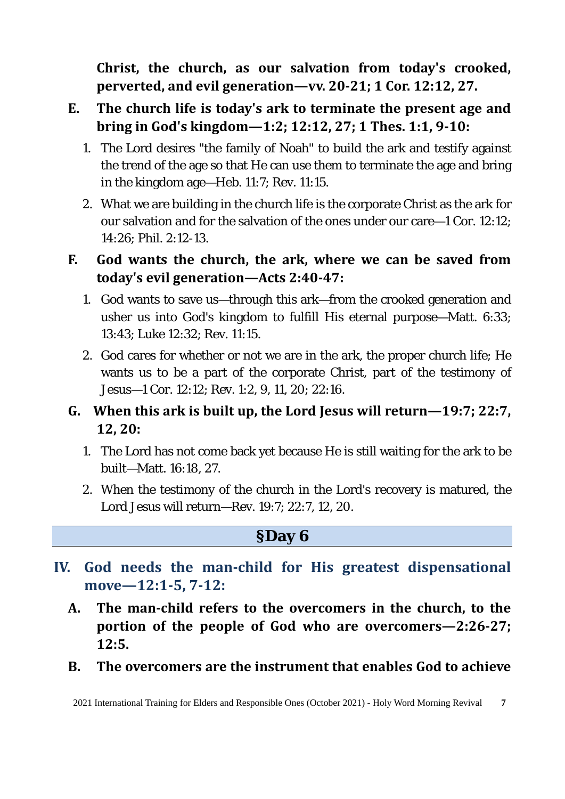**Christ, the church, as our salvation from today's crooked, perverted, and evil generation—vv. 20-21; 1 Cor. 12:12, 27.** 

- **E. The church life is today's ark to terminate the present age and bring in God's kingdom—1:2; 12:12, 27; 1 Thes. 1:1, 9-10:** 
	- 1. The Lord desires "the family of Noah" to build the ark and testify against the trend of the age so that He can use them to terminate the age and bring in the kingdom age—Heb. 11:7; Rev. 11:15.
	- 2. What we are building in the church life is the corporate Christ as the ark for our salvation and for the salvation of the ones under our care—1 Cor. 12:12; 14:26; Phil. 2:12-13.

#### **F. God wants the church, the ark, where we can be saved from today's evil generation—Acts 2:40-47:**

- 1. God wants to save us—through this ark—from the crooked generation and usher us into God's kingdom to fulfill His eternal purpose—Matt. 6:33; 13:43; Luke 12:32; Rev. 11:15.
- 2. God cares for whether or not we are in the ark, the proper church life; He wants us to be a part of the corporate Christ, part of the testimony of Jesus—1 Cor. 12:12; Rev. 1:2, 9, 11, 20; 22:16.

### **G. When this ark is built up, the Lord Jesus will return—19:7; 22:7, 12, 20:**

- 1. The Lord has not come back yet because He is still waiting for the ark to be built—Matt. 16:18, 27.
- 2. When the testimony of the church in the Lord's recovery is matured, the Lord Jesus will return—Rev. 19:7; 22:7, 12, 20.

#### **§Day 6**

- **IV. God needs the man-child for His greatest dispensational move—12:1-5, 7-12:** 
	- **A. The man-child refers to the overcomers in the church, to the portion of the people of God who are overcomers—2:26-27; 12:5.**
	- **B. The overcomers are the instrument that enables God to achieve**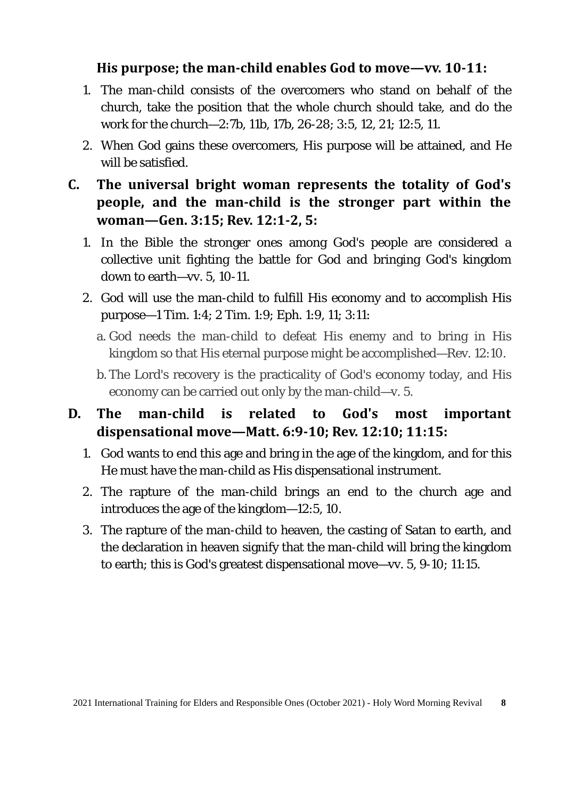#### **His purpose; the man-child enables God to move—vv. 10-11:**

- 1. The man-child consists of the overcomers who stand on behalf of the church, take the position that the whole church should take, and do the work for the church—2:7b, 11b, 17b, 26-28; 3:5, 12, 21; 12:5, 11.
- 2. When God gains these overcomers, His purpose will be attained, and He will be satisfied.
- **C. The universal bright woman represents the totality of God's people, and the man-child is the stronger part within the woman—Gen. 3:15; Rev. 12:1-2, 5:** 
	- 1. In the Bible the stronger ones among God's people are considered a collective unit fighting the battle for God and bringing God's kingdom down to earth—vv. 5, 10-11.
	- 2. God will use the man-child to fulfill His economy and to accomplish His purpose—1 Tim. 1:4; 2 Tim. 1:9; Eph. 1:9, 11; 3:11:
		- a. God needs the man-child to defeat His enemy and to bring in His kingdom so that His eternal purpose might be accomplished—Rev. 12:10.
		- b. The Lord's recovery is the practicality of God's economy today, and His economy can be carried out only by the man-child—v. 5.

#### **D. The man-child is related to God's most important dispensational move—Matt. 6:9-10; Rev. 12:10; 11:15:**

- 1. God wants to end this age and bring in the age of the kingdom, and for this He must have the man-child as His dispensational instrument.
- 2. The rapture of the man-child brings an end to the church age and introduces the age of the kingdom—12:5, 10.
- 3. The rapture of the man-child to heaven, the casting of Satan to earth, and the declaration in heaven signify that the man-child will bring the kingdom to earth; this is God's greatest dispensational move—vv. 5, 9-10; 11:15.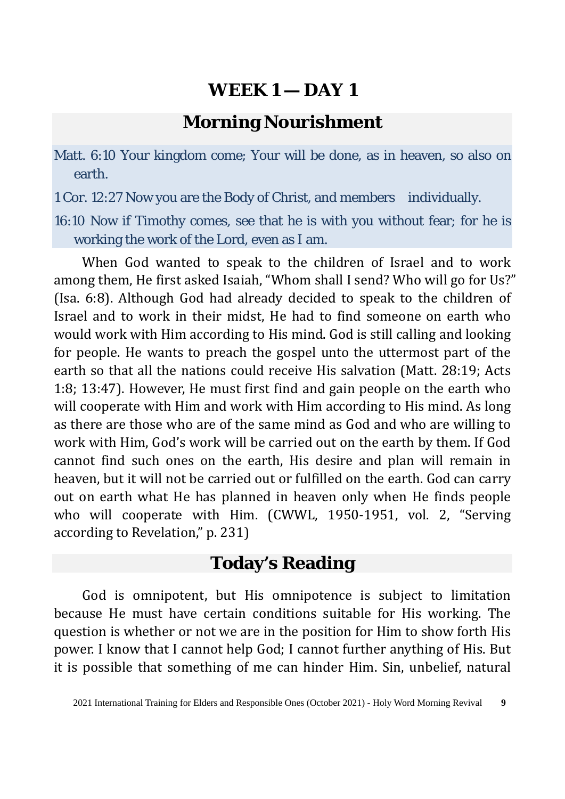### **Morning Nourishment**

Matt. 6:10 Your kingdom come; Your will be done, as in heaven, so also on earth.

1 Cor. 12:27 Now you are the Body of Christ, and members individually.

16:10 Now if Timothy comes, see that he is with you without fear; for he is working the work of the Lord, even as I am.

When God wanted to speak to the children of Israel and to work among them, He first asked Isaiah, "Whom shall I send? Who will go for Us?" (Isa. 6:8). Although God had already decided to speak to the children of Israel and to work in their midst, He had to find someone on earth who would work with Him according to His mind. God is still calling and looking for people. He wants to preach the gospel unto the uttermost part of the earth so that all the nations could receive His salvation (Matt. 28:19; Acts 1:8; 13:47). However, He must first find and gain people on the earth who will cooperate with Him and work with Him according to His mind. As long as there are those who are of the same mind as God and who are willing to work with Him, God's work will be carried out on the earth by them. If God cannot find such ones on the earth, His desire and plan will remain in heaven, but it will not be carried out or fulfilled on the earth. God can carry out on earth what He has planned in heaven only when He finds people who will cooperate with Him. (CWWL, 1950-1951, vol. 2, "Serving according to Revelation," p. 231)

### **Today's Reading**

God is omnipotent, but His omnipotence is subject to limitation because He must have certain conditions suitable for His working. The question is whether or not we are in the position for Him to show forth His power. I know that I cannot help God; I cannot further anything of His. But it is possible that something of me can hinder Him. Sin, unbelief, natural

<sup>2021</sup> International Training for Elders and Responsible Ones (October 2021) - Holy Word Morning Revival **9**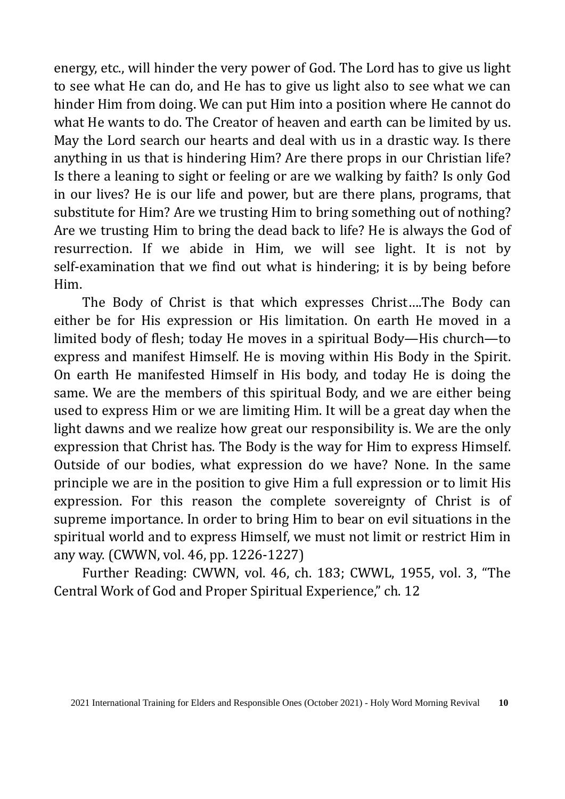energy, etc., will hinder the very power of God. The Lord has to give us light to see what He can do, and He has to give us light also to see what we can hinder Him from doing. We can put Him into a position where He cannot do what He wants to do. The Creator of heaven and earth can be limited by us. May the Lord search our hearts and deal with us in a drastic way. Is there anything in us that is hindering Him? Are there props in our Christian life? Is there a leaning to sight or feeling or are we walking by faith? Is only God in our lives? He is our life and power, but are there plans, programs, that substitute for Him? Are we trusting Him to bring something out of nothing? Are we trusting Him to bring the dead back to life? He is always the God of resurrection. If we abide in Him, we will see light. It is not by self-examination that we find out what is hindering; it is by being before Him.

The Body of Christ is that which expresses Christ….The Body can either be for His expression or His limitation. On earth He moved in a limited body of flesh; today He moves in a spiritual Body—His church—to express and manifest Himself. He is moving within His Body in the Spirit. On earth He manifested Himself in His body, and today He is doing the same. We are the members of this spiritual Body, and we are either being used to express Him or we are limiting Him. It will be a great day when the light dawns and we realize how great our responsibility is. We are the only expression that Christ has. The Body is the way for Him to express Himself. Outside of our bodies, what expression do we have? None. In the same principle we are in the position to give Him a full expression or to limit His expression. For this reason the complete sovereignty of Christ is of supreme importance. In order to bring Him to bear on evil situations in the spiritual world and to express Himself, we must not limit or restrict Him in any way. (CWWN, vol. 46, pp. 1226-1227)

Further Reading: CWWN, vol. 46, ch. 183; CWWL, 1955, vol. 3, "The Central Work of God and Proper Spiritual Experience," ch. 12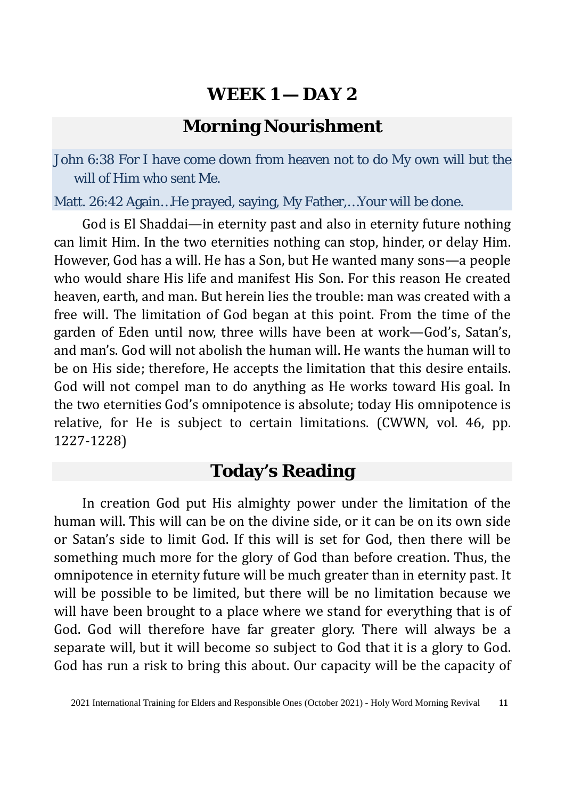### **Morning Nourishment**

John 6:38 For I have come down from heaven not to do My own will but the will of Him who sent Me.

Matt. 26:42 Again…He prayed, saying, My Father,…Your will be done.

God is El Shaddai—in eternity past and also in eternity future nothing can limit Him. In the two eternities nothing can stop, hinder, or delay Him. However, God has a will. He has a Son, but He wanted many sons—a people who would share His life and manifest His Son. For this reason He created heaven, earth, and man. But herein lies the trouble: man was created with a free will. The limitation of God began at this point. From the time of the garden of Eden until now, three wills have been at work—God's, Satan's, and man's. God will not abolish the human will. He wants the human will to be on His side; therefore, He accepts the limitation that this desire entails. God will not compel man to do anything as He works toward His goal. In the two eternities God's omnipotence is absolute; today His omnipotence is relative, for He is subject to certain limitations. (CWWN, vol. 46, pp. 1227-1228)

#### **Today's Reading**

In creation God put His almighty power under the limitation of the human will. This will can be on the divine side, or it can be on its own side or Satan's side to limit God. If this will is set for God, then there will be something much more for the glory of God than before creation. Thus, the omnipotence in eternity future will be much greater than in eternity past. It will be possible to be limited, but there will be no limitation because we will have been brought to a place where we stand for everything that is of God. God will therefore have far greater glory. There will always be a separate will, but it will become so subject to God that it is a glory to God. God has run a risk to bring this about. Our capacity will be the capacity of

<sup>2021</sup> International Training for Elders and Responsible Ones (October 2021) - Holy Word Morning Revival **11**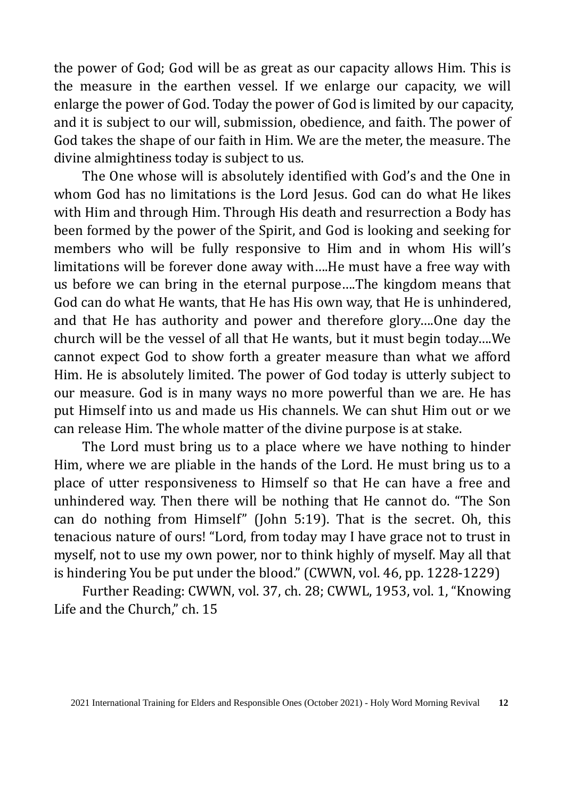the power of God; God will be as great as our capacity allows Him. This is the measure in the earthen vessel. If we enlarge our capacity, we will enlarge the power of God. Today the power of God is limited by our capacity, and it is subject to our will, submission, obedience, and faith. The power of God takes the shape of our faith in Him. We are the meter, the measure. The divine almightiness today is subject to us.

The One whose will is absolutely identified with God's and the One in whom God has no limitations is the Lord Jesus. God can do what He likes with Him and through Him. Through His death and resurrection a Body has been formed by the power of the Spirit, and God is looking and seeking for members who will be fully responsive to Him and in whom His will's limitations will be forever done away with….He must have a free way with us before we can bring in the eternal purpose….The kingdom means that God can do what He wants, that He has His own way, that He is unhindered, and that He has authority and power and therefore glory….One day the church will be the vessel of all that He wants, but it must begin today….We cannot expect God to show forth a greater measure than what we afford Him. He is absolutely limited. The power of God today is utterly subject to our measure. God is in many ways no more powerful than we are. He has put Himself into us and made us His channels. We can shut Him out or we can release Him. The whole matter of the divine purpose is at stake.

The Lord must bring us to a place where we have nothing to hinder Him, where we are pliable in the hands of the Lord. He must bring us to a place of utter responsiveness to Himself so that He can have a free and unhindered way. Then there will be nothing that He cannot do. "The Son can do nothing from Himself" (John 5:19). That is the secret. Oh, this tenacious nature of ours! "Lord, from today may I have grace not to trust in myself, not to use my own power, nor to think highly of myself. May all that is hindering You be put under the blood." (CWWN, vol. 46, pp. 1228-1229)

Further Reading: CWWN, vol. 37, ch. 28; CWWL, 1953, vol. 1, "Knowing Life and the Church," ch. 15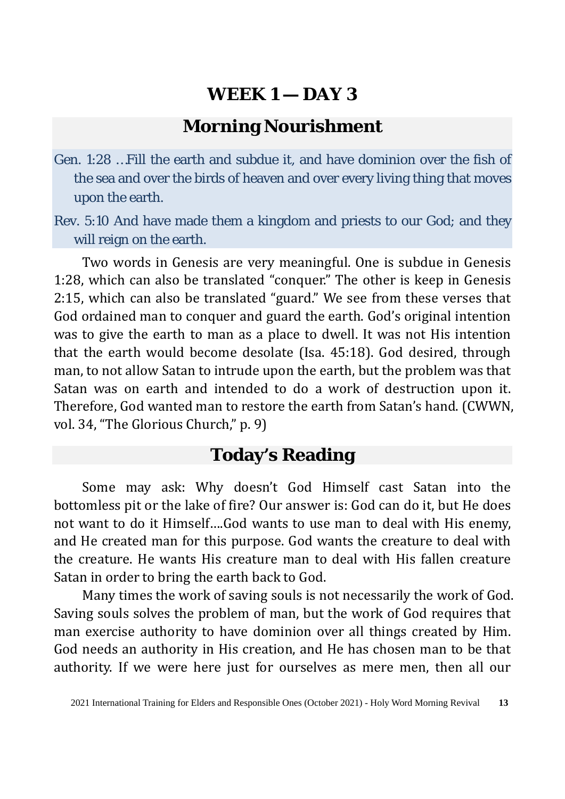### **Morning Nourishment**

Gen. 1:28 …Fill the earth and subdue it, and have dominion over the fish of the sea and over the birds of heaven and over every living thing that moves upon the earth.

Rev. 5:10 And have made them a kingdom and priests to our God; and they will reign on the earth.

Two words in Genesis are very meaningful. One is subdue in Genesis 1:28, which can also be translated "conquer." The other is keep in Genesis 2:15, which can also be translated "guard." We see from these verses that God ordained man to conquer and guard the earth. God's original intention was to give the earth to man as a place to dwell. It was not His intention that the earth would become desolate (Isa. 45:18). God desired, through man, to not allow Satan to intrude upon the earth, but the problem was that Satan was on earth and intended to do a work of destruction upon it. Therefore, God wanted man to restore the earth from Satan's hand. (CWWN, vol. 34, "The Glorious Church," p. 9)

### **Today's Reading**

Some may ask: Why doesn't God Himself cast Satan into the bottomless pit or the lake of fire? Our answer is: God can do it, but He does not want to do it Himself….God wants to use man to deal with His enemy, and He created man for this purpose. God wants the creature to deal with the creature. He wants His creature man to deal with His fallen creature Satan in order to bring the earth back to God.

Many times the work of saving souls is not necessarily the work of God. Saving souls solves the problem of man, but the work of God requires that man exercise authority to have dominion over all things created by Him. God needs an authority in His creation, and He has chosen man to be that authority. If we were here just for ourselves as mere men, then all our

<sup>2021</sup> International Training for Elders and Responsible Ones (October 2021) - Holy Word Morning Revival **13**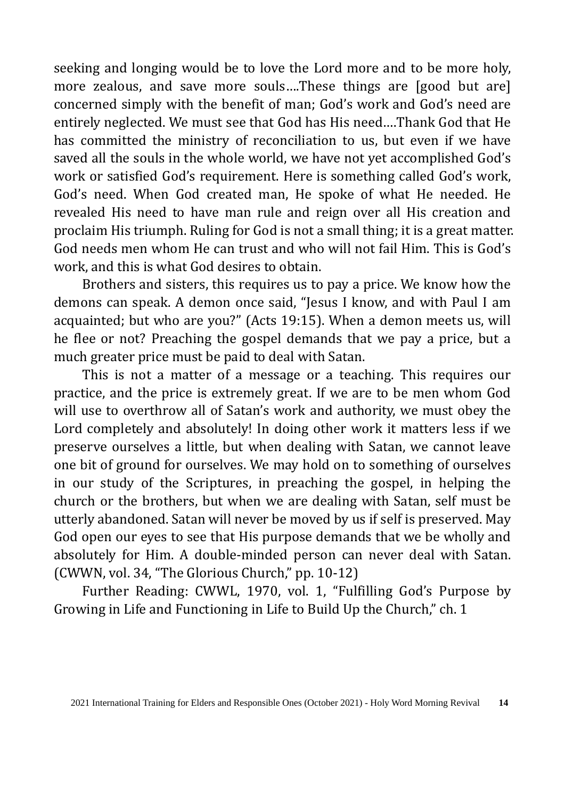seeking and longing would be to love the Lord more and to be more holy, more zealous, and save more souls….These things are [good but are] concerned simply with the benefit of man; God's work and God's need are entirely neglected. We must see that God has His need….Thank God that He has committed the ministry of reconciliation to us, but even if we have saved all the souls in the whole world, we have not yet accomplished God's work or satisfied God's requirement. Here is something called God's work, God's need. When God created man, He spoke of what He needed. He revealed His need to have man rule and reign over all His creation and proclaim His triumph. Ruling for God is not a small thing; it is a great matter. God needs men whom He can trust and who will not fail Him. This is God's work, and this is what God desires to obtain.

Brothers and sisters, this requires us to pay a price. We know how the demons can speak. A demon once said, "Jesus I know, and with Paul I am acquainted; but who are you?" (Acts 19:15). When a demon meets us, will he flee or not? Preaching the gospel demands that we pay a price, but a much greater price must be paid to deal with Satan.

This is not a matter of a message or a teaching. This requires our practice, and the price is extremely great. If we are to be men whom God will use to overthrow all of Satan's work and authority, we must obey the Lord completely and absolutely! In doing other work it matters less if we preserve ourselves a little, but when dealing with Satan, we cannot leave one bit of ground for ourselves. We may hold on to something of ourselves in our study of the Scriptures, in preaching the gospel, in helping the church or the brothers, but when we are dealing with Satan, self must be utterly abandoned. Satan will never be moved by us if self is preserved. May God open our eyes to see that His purpose demands that we be wholly and absolutely for Him. A double-minded person can never deal with Satan. (CWWN, vol. 34, "The Glorious Church," pp. 10-12)

Further Reading: CWWL, 1970, vol. 1, "Fulfilling God's Purpose by Growing in Life and Functioning in Life to Build Up the Church," ch. 1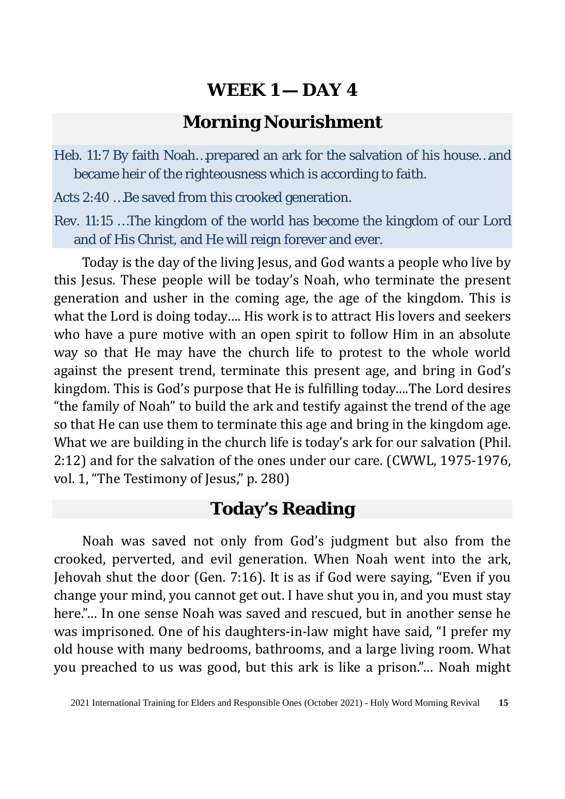### **Morning Nourishment**

Heb. 11:7 By faith Noah…prepared an ark for the salvation of his house…and became heir of the righteousness which is according to faith.

Acts 2:40 …Be saved from this crooked generation.

Rev. 11:15 …The kingdom of the world has become the kingdom of our Lord and of His Christ, and He will reign forever and ever.

Today is the day of the living Jesus, and God wants a people who live by this Jesus. These people will be today's Noah, who terminate the present generation and usher in the coming age, the age of the kingdom. This is what the Lord is doing today…. His work is to attract His lovers and seekers who have a pure motive with an open spirit to follow Him in an absolute way so that He may have the church life to protest to the whole world against the present trend, terminate this present age, and bring in God's kingdom. This is God's purpose that He is fulfilling today….The Lord desires "the family of Noah" to build the ark and testify against the trend of the age so that He can use them to terminate this age and bring in the kingdom age. What we are building in the church life is today's ark for our salvation (Phil. 2:12) and for the salvation of the ones under our care. (CWWL, 1975-1976, vol. 1, "The Testimony of Jesus," p. 280)

### **Today's Reading**

Noah was saved not only from God's judgment but also from the crooked, perverted, and evil generation. When Noah went into the ark, Jehovah shut the door (Gen. 7:16). It is as if God were saying, "Even if you change your mind, you cannot get out. I have shut you in, and you must stay here."… In one sense Noah was saved and rescued, but in another sense he was imprisoned. One of his daughters-in-law might have said, "I prefer my old house with many bedrooms, bathrooms, and a large living room. What you preached to us was good, but this ark is like a prison."… Noah might

<sup>2021</sup> International Training for Elders and Responsible Ones (October 2021) - Holy Word Morning Revival **15**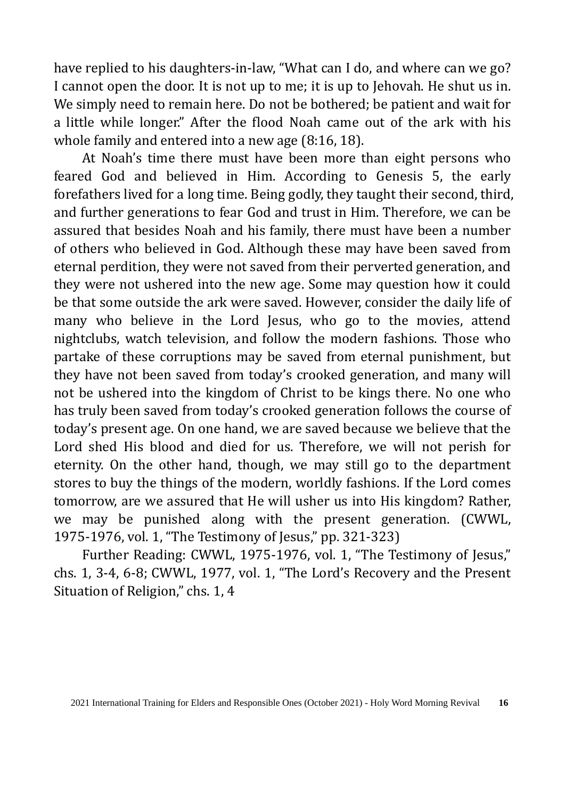have replied to his daughters-in-law, "What can I do, and where can we go? I cannot open the door. It is not up to me; it is up to Jehovah. He shut us in. We simply need to remain here. Do not be bothered; be patient and wait for a little while longer." After the flood Noah came out of the ark with his whole family and entered into a new age (8:16, 18).

At Noah's time there must have been more than eight persons who feared God and believed in Him. According to Genesis 5, the early forefathers lived for a long time. Being godly, they taught their second, third, and further generations to fear God and trust in Him. Therefore, we can be assured that besides Noah and his family, there must have been a number of others who believed in God. Although these may have been saved from eternal perdition, they were not saved from their perverted generation, and they were not ushered into the new age. Some may question how it could be that some outside the ark were saved. However, consider the daily life of many who believe in the Lord Jesus, who go to the movies, attend nightclubs, watch television, and follow the modern fashions. Those who partake of these corruptions may be saved from eternal punishment, but they have not been saved from today's crooked generation, and many will not be ushered into the kingdom of Christ to be kings there. No one who has truly been saved from today's crooked generation follows the course of today's present age. On one hand, we are saved because we believe that the Lord shed His blood and died for us. Therefore, we will not perish for eternity. On the other hand, though, we may still go to the department stores to buy the things of the modern, worldly fashions. If the Lord comes tomorrow, are we assured that He will usher us into His kingdom? Rather, we may be punished along with the present generation. (CWWL, 1975-1976, vol. 1, "The Testimony of Jesus," pp. 321-323)

Further Reading: CWWL, 1975-1976, vol. 1, "The Testimony of Jesus," chs. 1, 3-4, 6-8; CWWL, 1977, vol. 1, "The Lord's Recovery and the Present Situation of Religion," chs. 1, 4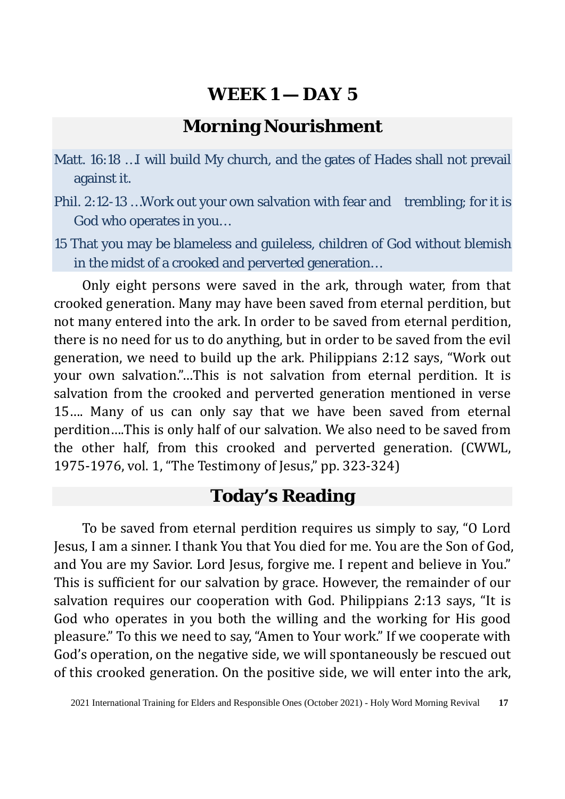### **Morning Nourishment**

- Matt. 16:18 …I will build My church, and the gates of Hades shall not prevail against it.
- Phil. 2:12-13 …Work out your own salvation with fear and trembling; for it is God who operates in you…
- 15 That you may be blameless and guileless, children of God without blemish in the midst of a crooked and perverted generation…

Only eight persons were saved in the ark, through water, from that crooked generation. Many may have been saved from eternal perdition, but not many entered into the ark. In order to be saved from eternal perdition, there is no need for us to do anything, but in order to be saved from the evil generation, we need to build up the ark. Philippians 2:12 says, "Work out your own salvation."…This is not salvation from eternal perdition. It is salvation from the crooked and perverted generation mentioned in verse 15…. Many of us can only say that we have been saved from eternal perdition….This is only half of our salvation. We also need to be saved from the other half, from this crooked and perverted generation. (CWWL, 1975-1976, vol. 1, "The Testimony of Jesus," pp. 323-324)

## **Today's Reading**

To be saved from eternal perdition requires us simply to say, "O Lord Jesus, I am a sinner. I thank You that You died for me. You are the Son of God, and You are my Savior. Lord Jesus, forgive me. I repent and believe in You." This is sufficient for our salvation by grace. However, the remainder of our salvation requires our cooperation with God. Philippians 2:13 says, "It is God who operates in you both the willing and the working for His good pleasure." To this we need to say, "Amen to Your work." If we cooperate with God's operation, on the negative side, we will spontaneously be rescued out of this crooked generation. On the positive side, we will enter into the ark,

<sup>2021</sup> International Training for Elders and Responsible Ones (October 2021) - Holy Word Morning Revival **17**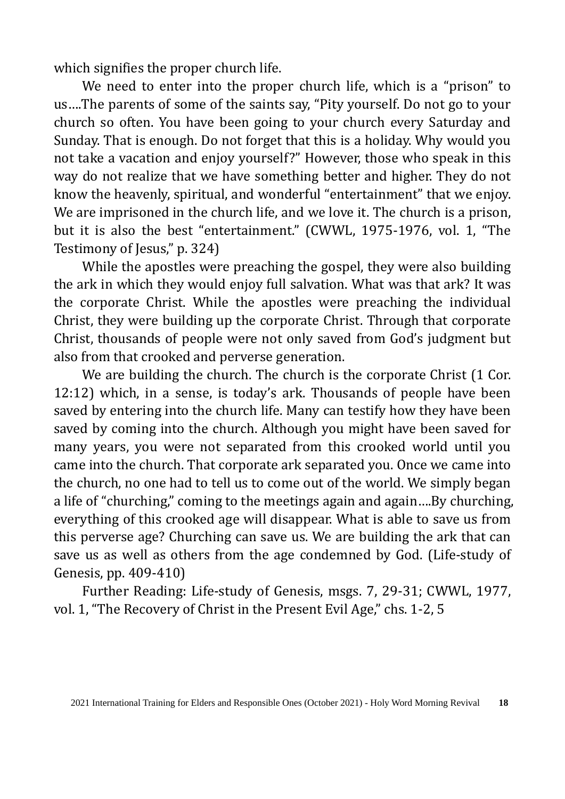which signifies the proper church life.

We need to enter into the proper church life, which is a "prison" to us….The parents of some of the saints say, "Pity yourself. Do not go to your church so often. You have been going to your church every Saturday and Sunday. That is enough. Do not forget that this is a holiday. Why would you not take a vacation and enjoy yourself?" However, those who speak in this way do not realize that we have something better and higher. They do not know the heavenly, spiritual, and wonderful "entertainment" that we enjoy. We are imprisoned in the church life, and we love it. The church is a prison, but it is also the best "entertainment." (CWWL, 1975-1976, vol. 1, "The Testimony of Jesus," p. 324)

While the apostles were preaching the gospel, they were also building the ark in which they would enjoy full salvation. What was that ark? It was the corporate Christ. While the apostles were preaching the individual Christ, they were building up the corporate Christ. Through that corporate Christ, thousands of people were not only saved from God's judgment but also from that crooked and perverse generation.

We are building the church. The church is the corporate Christ (1 Cor. 12:12) which, in a sense, is today's ark. Thousands of people have been saved by entering into the church life. Many can testify how they have been saved by coming into the church. Although you might have been saved for many years, you were not separated from this crooked world until you came into the church. That corporate ark separated you. Once we came into the church, no one had to tell us to come out of the world. We simply began a life of "churching," coming to the meetings again and again….By churching, everything of this crooked age will disappear. What is able to save us from this perverse age? Churching can save us. We are building the ark that can save us as well as others from the age condemned by God. (Life-study of Genesis, pp. 409-410)

Further Reading: Life-study of Genesis, msgs. 7, 29-31; CWWL, 1977, vol. 1, "The Recovery of Christ in the Present Evil Age," chs. 1-2, 5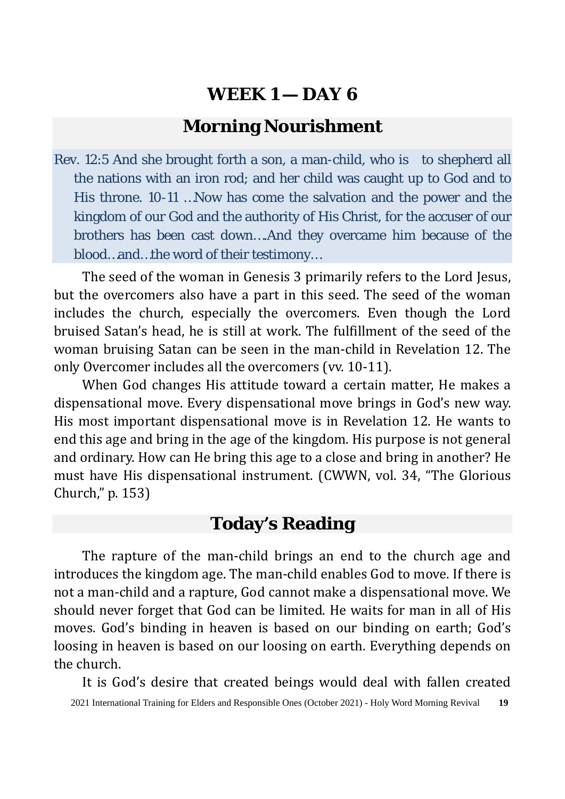### **Morning Nourishment**

Rev. 12:5 And she brought forth a son, a man-child, who is to shepherd all the nations with an iron rod; and her child was caught up to God and to His throne. 10-11 …Now has come the salvation and the power and the kingdom of our God and the authority of His Christ, for the accuser of our brothers has been cast down….And they overcame him because of the blood…and…the word of their testimony…

The seed of the woman in Genesis 3 primarily refers to the Lord Jesus, but the overcomers also have a part in this seed. The seed of the woman includes the church, especially the overcomers. Even though the Lord bruised Satan's head, he is still at work. The fulfillment of the seed of the woman bruising Satan can be seen in the man-child in Revelation 12. The only Overcomer includes all the overcomers (vv. 10-11).

When God changes His attitude toward a certain matter, He makes a dispensational move. Every dispensational move brings in God's new way. His most important dispensational move is in Revelation 12. He wants to end this age and bring in the age of the kingdom. His purpose is not general and ordinary. How can He bring this age to a close and bring in another? He must have His dispensational instrument. (CWWN, vol. 34, "The Glorious Church," p. 153)

### **Today's Reading**

The rapture of the man-child brings an end to the church age and introduces the kingdom age. The man-child enables God to move. If there is not a man-child and a rapture, God cannot make a dispensational move. We should never forget that God can be limited. He waits for man in all of His moves. God's binding in heaven is based on our binding on earth; God's loosing in heaven is based on our loosing on earth. Everything depends on the church.

It is God's desire that created beings would deal with fallen created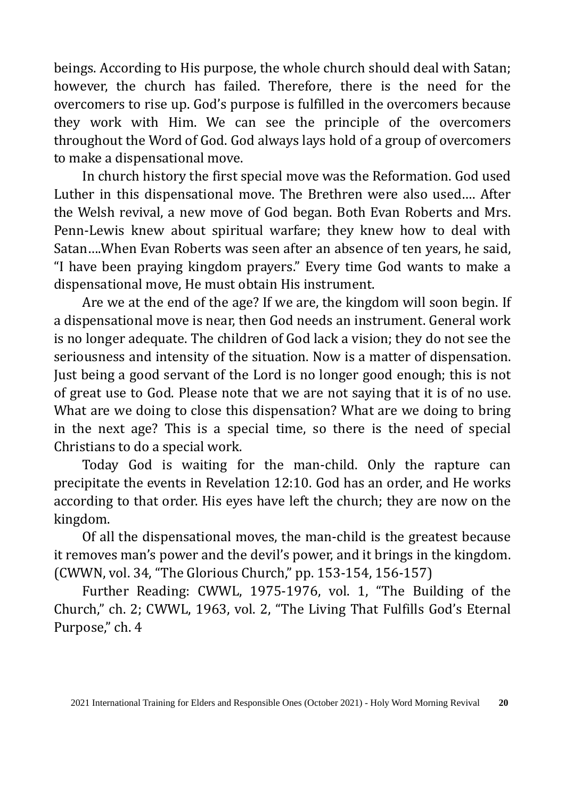beings. According to His purpose, the whole church should deal with Satan; however, the church has failed. Therefore, there is the need for the overcomers to rise up. God's purpose is fulfilled in the overcomers because they work with Him. We can see the principle of the overcomers throughout the Word of God. God always lays hold of a group of overcomers to make a dispensational move.

In church history the first special move was the Reformation. God used Luther in this dispensational move. The Brethren were also used…. After the Welsh revival, a new move of God began. Both Evan Roberts and Mrs. Penn-Lewis knew about spiritual warfare; they knew how to deal with Satan….When Evan Roberts was seen after an absence of ten years, he said, "I have been praying kingdom prayers." Every time God wants to make a dispensational move, He must obtain His instrument.

Are we at the end of the age? If we are, the kingdom will soon begin. If a dispensational move is near, then God needs an instrument. General work is no longer adequate. The children of God lack a vision; they do not see the seriousness and intensity of the situation. Now is a matter of dispensation. Just being a good servant of the Lord is no longer good enough; this is not of great use to God. Please note that we are not saying that it is of no use. What are we doing to close this dispensation? What are we doing to bring in the next age? This is a special time, so there is the need of special Christians to do a special work.

Today God is waiting for the man-child. Only the rapture can precipitate the events in Revelation 12:10. God has an order, and He works according to that order. His eyes have left the church; they are now on the kingdom.

Of all the dispensational moves, the man-child is the greatest because it removes man's power and the devil's power, and it brings in the kingdom. (CWWN, vol. 34, "The Glorious Church," pp. 153-154, 156-157)

Further Reading: CWWL, 1975-1976, vol. 1, "The Building of the Church," ch. 2; CWWL, 1963, vol. 2, "The Living That Fulfills God's Eternal Purpose," ch. 4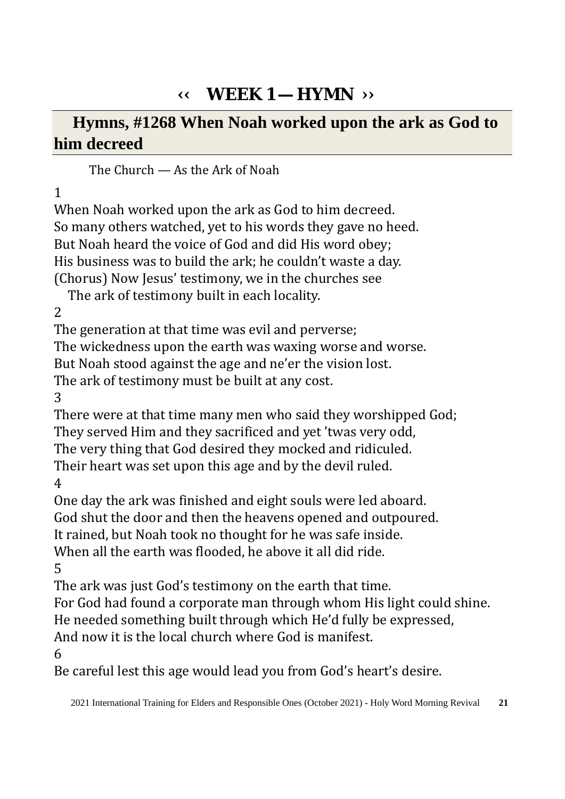# **‹‹ WEEK 1 — HYMN ››**

**Hymns, #1268 When Noah worked upon the ark as God to him decreed** 

The Church — As the Ark of Noah

### 1

When Noah worked upon the ark as God to him decreed. So many others watched, yet to his words they gave no heed. But Noah heard the voice of God and did His word obey; His business was to build the ark; he couldn't waste a day. (Chorus) Now Jesus' testimony, we in the churches see

The ark of testimony built in each locality.

2

The generation at that time was evil and perverse;

The wickedness upon the earth was waxing worse and worse.

But Noah stood against the age and ne'er the vision lost.

The ark of testimony must be built at any cost.

3

There were at that time many men who said they worshipped God; They served Him and they sacrificed and yet 'twas very odd, The very thing that God desired they mocked and ridiculed.

Their heart was set upon this age and by the devil ruled.

4

One day the ark was finished and eight souls were led aboard.

God shut the door and then the heavens opened and outpoured.

It rained, but Noah took no thought for he was safe inside.

When all the earth was flooded, he above it all did ride.

5

The ark was just God's testimony on the earth that time.

For God had found a corporate man through whom His light could shine.

He needed something built through which He'd fully be expressed,

And now it is the local church where God is manifest.

6

Be careful lest this age would lead you from God's heart's desire.